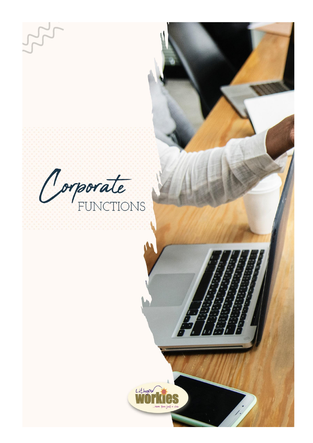Corporate

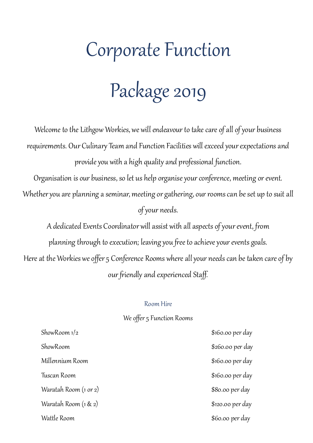# Corporate Function Package 2019

Welcome to the Lithgow Workies, we will endeavour to take care of all of your business requirements. Our Culinary Team and Function Facilities will exceed your expectations and provide you with a high quality and professional function.

Organisation is our business, so let us help organise your conference, meeting or event. Whether you are planning a seminar, meeting or gathering, our rooms can be set up to suit all of your needs.

A dedicated Events Coordinator will assist with all aspects of your event, from planning through to execution; leaving you free to achieve your events goals. Here at the Workies we offer 5 Conference Rooms where all your needs can be taken care of by our friendly and experienced Staff.

#### Room Hire

#### We offer 5 Function Rooms

ShowRoom 1/2 \$160.00 per day ShowRoom \$260.00 per day Millennium Room \$160.00 per day Tuscan Room \$160.00 per day Waratah Room (1 or 2)  $$80.00 \text{ per day}$ Waratah Room (1 & 2)  $\qquad \qquad$  \$120.00 per day Wattle Room  $\sim$  860.00 per day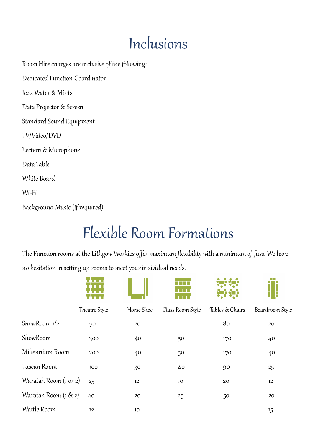## Inclusions

Room Hire charges are inclusive of the following; Dedicated Function Coordinator Iced Water & Mints Data Projector & Screen Standard Sound Equipment TV/Video/DVD Lectern & Microphone Data Table White Board

Wi-Fi

Background Music (if required)

# Flexible Room Formations

The Function rooms at the Lithgow Workies offer maximum flexibility with a minimum of fuss. We have no hesitation in setting up rooms to meet your individual needs.

|                       | Theatre Style | Horse Shoe      | Class Room Style | Tables & Chairs | Boardroom Style |
|-----------------------|---------------|-----------------|------------------|-----------------|-----------------|
| ShowRoom $1/2$        | 70            | $20\,$          |                  | 80              | 20              |
| ShowRoom              | 300           | 40              | 50               | 170             | 40              |
| Millennium Room       | 200           | 40              | 50               | 170             | 40              |
| Tuscan Room           | 100           | 30              | 40               | 90              | $25\,$          |
| Waratah Room (1 or 2) | 25            | 12              | 10 <sup>°</sup>  | $20\,$          | 12              |
| Waratah Room (1 & 2)  | 40            | $20\,$          | 25               | 50              | 20              |
| Wattle Room           | 12            | 10 <sup>°</sup> |                  |                 | 15              |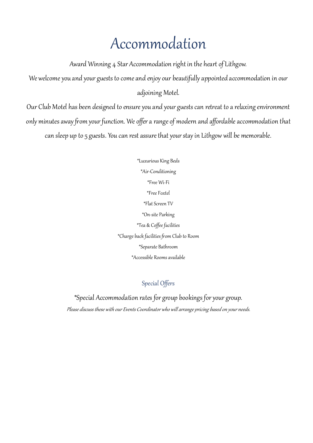### Accommodation

Award Winning 4 Star Accommodation right in the heart of Lithgow.

We welcome you and your guests to come and enjoy our beautifully appointed accommodation in our adjoining Motel.

Our Club Motel has been designed to ensure you and your guests can retreat to a relaxing environment only minutes away from your function. We offer a range of modern and affordable accommodation that can sleep up to 5 guests. You can rest assure that your stay in Lithgow will be memorable.

> \*Luxurious King Beds \*Air-Conditioning \*Free Wi-Fi \*Free Foxtel \*Flat Screen TV \*On-site Parking \*Tea & Coffee facilities \*Charge back facilities from Club to Room \*Separate Bathroom \*Accessible Rooms available

> > Special Offers

\*Special Accommodation rates for group bookings for your group. Please discuss these with our Events Coordinator who will arrange pricing based on your needs.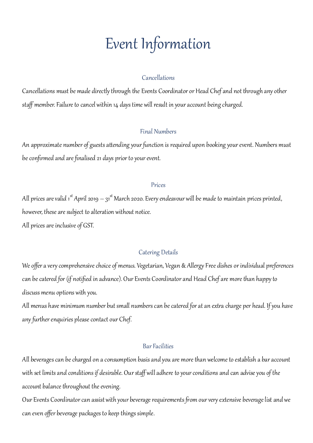### Event Information

#### Cancellations

Cancellations must be made directly through the Events Coordinator or Head Chef and not through any other staff member. Failure to cancel within 14 days time will result in your account being charged.

#### Final Numbers

An approximate number of guests attending your function is required upon booking your event. Numbers must be confirmed and are finalised 21 days prior to your event.

#### Prices

All prices are valid 1<sup>st</sup> April 2019 — 31<sup>st</sup> March 2020. Every endeavour will be made to maintain prices printed, however, these are subject to alteration without notice. All prices are inclusive of GST.

#### Catering Details

We offer a very comprehensive choice of menus. Vegetarian, Vegan & Allergy Free dishes or individual preferences can be catered for (if notified in advance). Our Events Coordinatorand Head Chef are more than happy to discuss menu options with you.

All menus have minimum number but small numbers can be catered for at an extra charge per head. If you have any further enquiries please contact our Chef.

#### Bar Facilities

All beverages can be charged on a consumption basis and you are more than welcome to establish a bar account with set limits and conditions if desirable. Our staff will adhere to your conditions and can advise you of the account balance throughout the evening.

Our Events Coordinator can assist with your beverage requirements from our very extensive beverage list and we can even offer beverage packages to keep things simple.